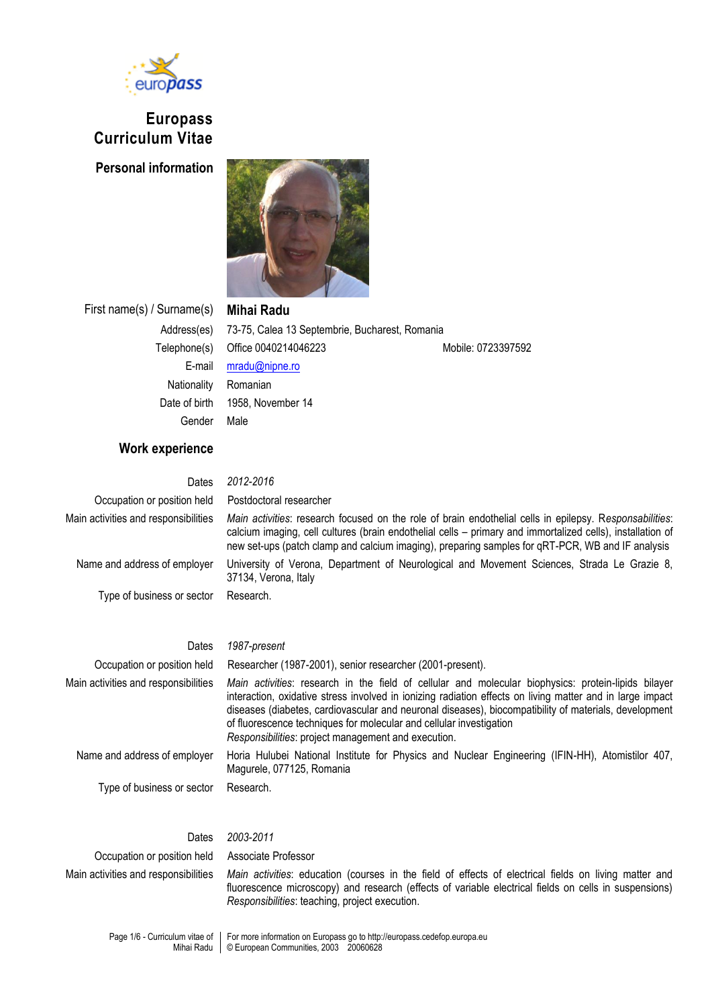

# **Europass Curriculum Vitae**

**Personal information**



First name(s) / Surname(s) **Mihai Radu**

Address(es) 73-75, Calea 13 Septembrie, Bucharest, Romania Telephone(s) Office 0040214046223 Mobile: 0723397592 E-mail [mradu@nipne.ro](mailto:mradu@nipne.ro) Nationality Romanian Date of birth 1958, November 14 Gender Male

## **Work experience**

Dates *2012-2016* Occupation or position held Postdoctoral researcher

37134, Verona, Italy

Main activities and responsibilities *Main activities*: research focused on the role of brain endothelial cells in epilepsy. R*esponsabilities*: calcium imaging, cell cultures (brain endothelial cells – primary and immortalized cells), installation of new set-ups (patch clamp and calcium imaging), preparing samples for qRT-PCR, WB and IF analysis

Name and address of employer University of Verona, Department of Neurological and Movement Sciences, Strada Le Grazie 8,

Type of business or sector Research.

### Dates *1987-present*

Occupation or position held Researcher (1987-2001), senior researcher (2001-present).

Main activities and responsibilities *Main activities*: research in the field of cellular and molecular biophysics: protein-lipids bilayer interaction, oxidative stress involved in ionizing radiation effects on living matter and in large impact diseases (diabetes, cardiovascular and neuronal diseases), biocompatibility of materials, development of fluorescence techniques for molecular and cellular investigation *Responsibilities*: project management and execution. Name and address of employer Horia Hulubei National Institute for Physics and Nuclear Engineering (IFIN-HH), Atomistilor 407, Magurele, 077125, Romania

| of huorescence techniques for molecular and cellular investigation<br>Responsibilities: project management and execution. |                                                                                                                     |  |  |  |  |  |  |  |
|---------------------------------------------------------------------------------------------------------------------------|---------------------------------------------------------------------------------------------------------------------|--|--|--|--|--|--|--|
| Name and address of employer                                                                                              | Horia Hulubei National Institute for Physics and Nuclear Engineering (IFIN-HH), Atomis<br>Magurele, 077125, Romania |  |  |  |  |  |  |  |
| Type of business or sector                                                                                                | Research.                                                                                                           |  |  |  |  |  |  |  |
| Dates                                                                                                                     | 2003-2011                                                                                                           |  |  |  |  |  |  |  |

### Occupation or position held Associate Professor Main activities and responsibilities *Main activities*: education (courses in the field of effects of electrical fields on living matter and fluorescence microscopy) and research (effects of variable electrical fields on cells in suspensions) *Responsibilities*: teaching, project execution.

Page 1/6 - Curriculum vitae of Mihai Radu For more information on Europass go to http://europass.cedefop.europa.eu © European Communities, 2003 20060628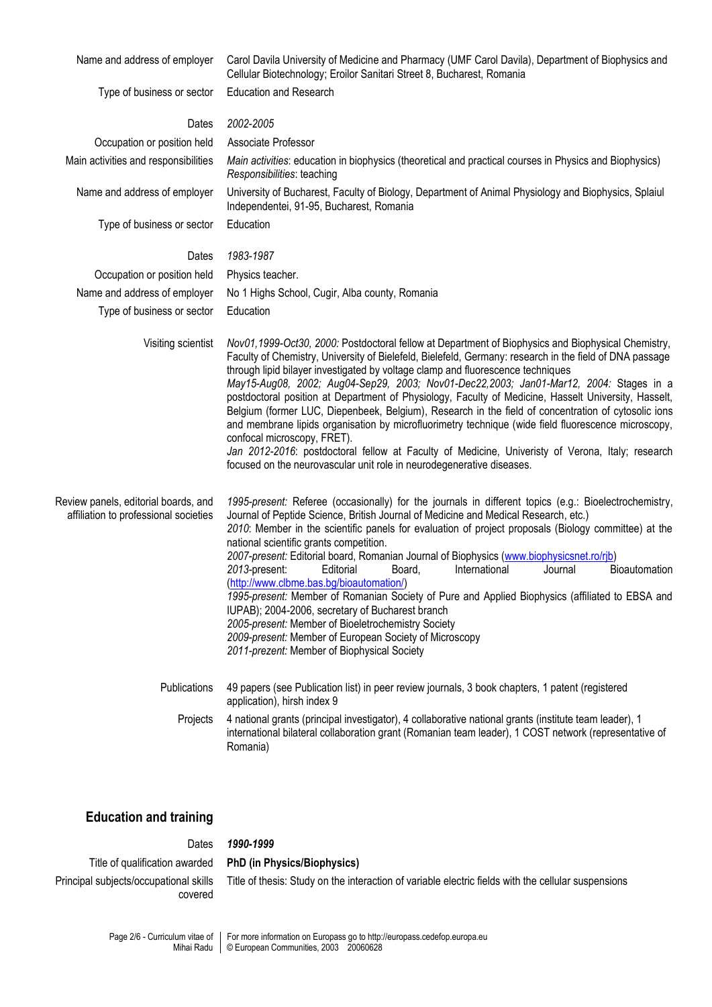| Name and address of employer                                                  | Carol Davila University of Medicine and Pharmacy (UMF Carol Davila), Department of Biophysics and<br>Cellular Biotechnology; Eroilor Sanitari Street 8, Bucharest, Romania                                                                                                                                                                                                                                                                                                                                                                                                                                                                                                                                                                                                                                                                                                                                                   |  |  |  |  |
|-------------------------------------------------------------------------------|------------------------------------------------------------------------------------------------------------------------------------------------------------------------------------------------------------------------------------------------------------------------------------------------------------------------------------------------------------------------------------------------------------------------------------------------------------------------------------------------------------------------------------------------------------------------------------------------------------------------------------------------------------------------------------------------------------------------------------------------------------------------------------------------------------------------------------------------------------------------------------------------------------------------------|--|--|--|--|
| Type of business or sector                                                    | <b>Education and Research</b>                                                                                                                                                                                                                                                                                                                                                                                                                                                                                                                                                                                                                                                                                                                                                                                                                                                                                                |  |  |  |  |
| Dates                                                                         | 2002-2005                                                                                                                                                                                                                                                                                                                                                                                                                                                                                                                                                                                                                                                                                                                                                                                                                                                                                                                    |  |  |  |  |
| Occupation or position held                                                   | Associate Professor                                                                                                                                                                                                                                                                                                                                                                                                                                                                                                                                                                                                                                                                                                                                                                                                                                                                                                          |  |  |  |  |
| Main activities and responsibilities                                          | Main activities: education in biophysics (theoretical and practical courses in Physics and Biophysics)<br>Responsibilities: teaching<br>University of Bucharest, Faculty of Biology, Department of Animal Physiology and Biophysics, Splaiul<br>Independentei, 91-95, Bucharest, Romania                                                                                                                                                                                                                                                                                                                                                                                                                                                                                                                                                                                                                                     |  |  |  |  |
| Name and address of employer                                                  |                                                                                                                                                                                                                                                                                                                                                                                                                                                                                                                                                                                                                                                                                                                                                                                                                                                                                                                              |  |  |  |  |
| Type of business or sector                                                    | Education                                                                                                                                                                                                                                                                                                                                                                                                                                                                                                                                                                                                                                                                                                                                                                                                                                                                                                                    |  |  |  |  |
| Dates                                                                         | 1983-1987                                                                                                                                                                                                                                                                                                                                                                                                                                                                                                                                                                                                                                                                                                                                                                                                                                                                                                                    |  |  |  |  |
| Occupation or position held                                                   | Physics teacher.                                                                                                                                                                                                                                                                                                                                                                                                                                                                                                                                                                                                                                                                                                                                                                                                                                                                                                             |  |  |  |  |
| Name and address of employer                                                  | No 1 Highs School, Cugir, Alba county, Romania                                                                                                                                                                                                                                                                                                                                                                                                                                                                                                                                                                                                                                                                                                                                                                                                                                                                               |  |  |  |  |
| Type of business or sector                                                    | Education                                                                                                                                                                                                                                                                                                                                                                                                                                                                                                                                                                                                                                                                                                                                                                                                                                                                                                                    |  |  |  |  |
| Visiting scientist                                                            | Nov01,1999-Oct30, 2000: Postdoctoral fellow at Department of Biophysics and Biophysical Chemistry,<br>Faculty of Chemistry, University of Bielefeld, Bielefeld, Germany: research in the field of DNA passage<br>through lipid bilayer investigated by voltage clamp and fluorescence techniques<br>May15-Aug08, 2002; Aug04-Sep29, 2003; Nov01-Dec22,2003; Jan01-Mar12, 2004: Stages in a<br>postdoctoral position at Department of Physiology, Faculty of Medicine, Hasselt University, Hasselt,<br>Belgium (former LUC, Diepenbeek, Belgium), Research in the field of concentration of cytosolic ions<br>and membrane lipids organisation by microfluorimetry technique (wide field fluorescence microscopy,<br>confocal microscopy, FRET).<br>Jan 2012-2016: postdoctoral fellow at Faculty of Medicine, Univeristy of Verona, Italy; research<br>focused on the neurovascular unit role in neurodegenerative diseases. |  |  |  |  |
| Review panels, editorial boards, and<br>affiliation to professional societies | 1995-present: Referee (occasionally) for the journals in different topics (e.g.: Bioelectrochemistry,<br>Journal of Peptide Science, British Journal of Medicine and Medical Research, etc.)<br>2010: Member in the scientific panels for evaluation of project proposals (Biology committee) at the<br>national scientific grants competition.<br>2007-present: Editorial board, Romanian Journal of Biophysics (www.biophysicsnet.ro/rib)<br>2013-present:<br>Editorial<br>International<br>Journal<br>Bioautomation<br>Board,<br>(http://www.clbme.bas.bg/bioautomation/)<br>1995-present: Member of Romanian Society of Pure and Applied Biophysics (affiliated to EBSA and<br>IUPAB); 2004-2006, secretary of Bucharest branch<br>2005-present: Member of Bioeletrochemistry Society<br>2009-present: Member of European Society of Microscopy<br>2011-prezent: Member of Biophysical Society                           |  |  |  |  |
| Publications<br>Projects                                                      | 49 papers (see Publication list) in peer review journals, 3 book chapters, 1 patent (registered<br>application), hirsh index 9<br>4 national grants (principal investigator), 4 collaborative national grants (institute team leader), 1<br>international bilateral collaboration grant (Romanian team leader), 1 COST network (representative of                                                                                                                                                                                                                                                                                                                                                                                                                                                                                                                                                                            |  |  |  |  |
|                                                                               | Romania)                                                                                                                                                                                                                                                                                                                                                                                                                                                                                                                                                                                                                                                                                                                                                                                                                                                                                                                     |  |  |  |  |

# **Education and training**

## Dates *1990-1999*

Title of qualification awarded **PhD (in Physics/Biophysics)** Principal subjects/occupational skills covered

Title of thesis: Study on the interaction of variable electric fields with the cellular suspensions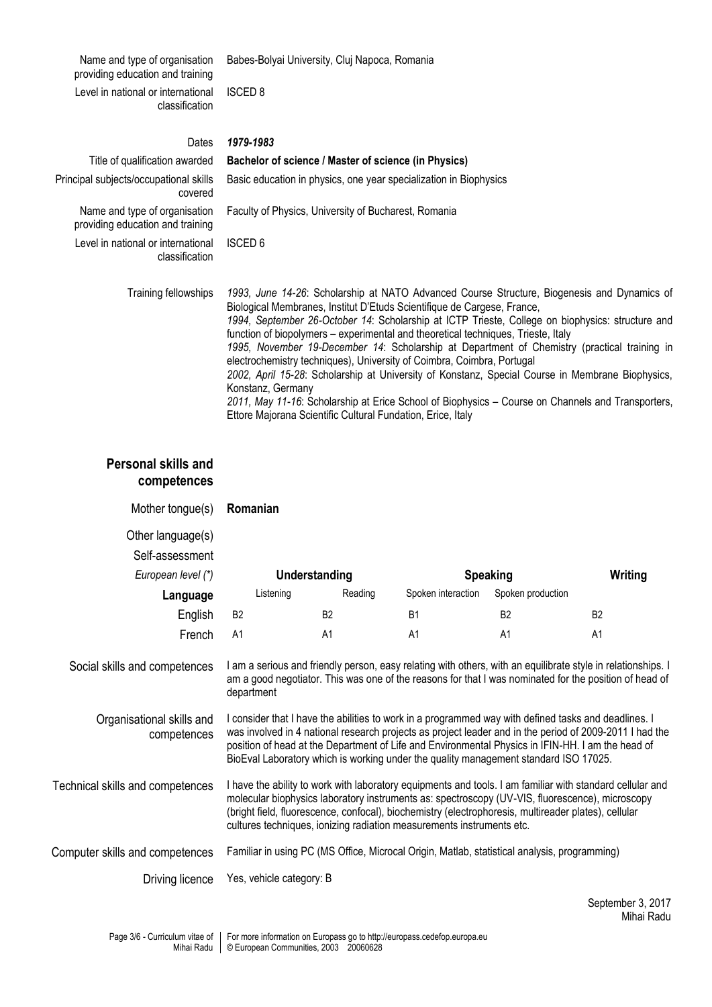Name and type of organisation providing education and training Babes-Bolyai University, Cluj Napoca, Romania Level in national or international classification ISCED 8 Dates *1979-1983* Title of qualification awarded **Bachelor of science / Master of science (in Physics)** Principal subjects/occupational skills covered Basic education in physics, one year specialization in Biophysics Name and type of organisation providing education and training Faculty of Physics, University of Bucharest, Romania Level in national or international classification ISCED 6 Training fellowships *1993, June 14-26*: Scholarship at NATO Advanced Course Structure, Biogenesis and Dynamics of Biological Membranes, Institut D'Etuds Scientifique de Cargese, France, *1994, September 26-October 14*: Scholarship at ICTP Trieste, College on biophysics: structure and function of biopolymers – experimental and theoretical techniques, Trieste, Italy

*1995, November 19-December 14*: Scholarship at Department of Chemistry (practical training in electrochemistry techniques), University of Coimbra, Coimbra, Portugal *2002, April 15-28*: Scholarship at University of Konstanz, Special Course in Membrane Biophysics,

Konstanz, Germany *2011, May 11-16*: Scholarship at Erice School of Biophysics – Course on Channels and Transporters, Ettore Majorana Scientific Cultural Fundation, Erice, Italy

# **Personal skills and competences**

| Mother tongue(s)                                           | Romanian                                                                                                                                                                                                                                                                                                                                                                                                     |                      |                    |                   |           |  |  |
|------------------------------------------------------------|--------------------------------------------------------------------------------------------------------------------------------------------------------------------------------------------------------------------------------------------------------------------------------------------------------------------------------------------------------------------------------------------------------------|----------------------|--------------------|-------------------|-----------|--|--|
| Other language(s)<br>Self-assessment<br>European level (*) |                                                                                                                                                                                                                                                                                                                                                                                                              | <b>Understanding</b> | <b>Speaking</b>    |                   | Writing   |  |  |
| Language                                                   | Listening                                                                                                                                                                                                                                                                                                                                                                                                    | Reading              | Spoken interaction | Spoken production |           |  |  |
| English                                                    | B <sub>2</sub>                                                                                                                                                                                                                                                                                                                                                                                               | B <sub>2</sub>       | <b>B1</b>          | <b>B2</b>         | <b>B2</b> |  |  |
| French                                                     | A <sub>1</sub>                                                                                                                                                                                                                                                                                                                                                                                               | A1                   | A1                 | A <sub>1</sub>    | A1        |  |  |
| Social skills and competences                              | I am a serious and friendly person, easy relating with others, with an equilibrate style in relationships. I<br>am a good negotiator. This was one of the reasons for that I was nominated for the position of head of<br>department                                                                                                                                                                         |                      |                    |                   |           |  |  |
| Organisational skills and<br>competences                   | I consider that I have the abilities to work in a programmed way with defined tasks and deadlines. I<br>was involved in 4 national research projects as project leader and in the period of 2009-2011 I had the<br>position of head at the Department of Life and Environmental Physics in IFIN-HH. I am the head of<br>BioEval Laboratory which is working under the quality management standard ISO 17025. |                      |                    |                   |           |  |  |
| Technical skills and competences                           | I have the ability to work with laboratory equipments and tools. I am familiar with standard cellular and<br>molecular biophysics laboratory instruments as: spectroscopy (UV-VIS, fluorescence), microscopy<br>(bright field, fluorescence, confocal), biochemistry (electrophoresis, multireader plates), cellular<br>cultures techniques, ionizing radiation measurements instruments etc.                |                      |                    |                   |           |  |  |
| Computer skills and competences                            | Familiar in using PC (MS Office, Microcal Origin, Matlab, statistical analysis, programming)                                                                                                                                                                                                                                                                                                                 |                      |                    |                   |           |  |  |
| Driving licence                                            | Yes, vehicle category: B                                                                                                                                                                                                                                                                                                                                                                                     |                      |                    |                   |           |  |  |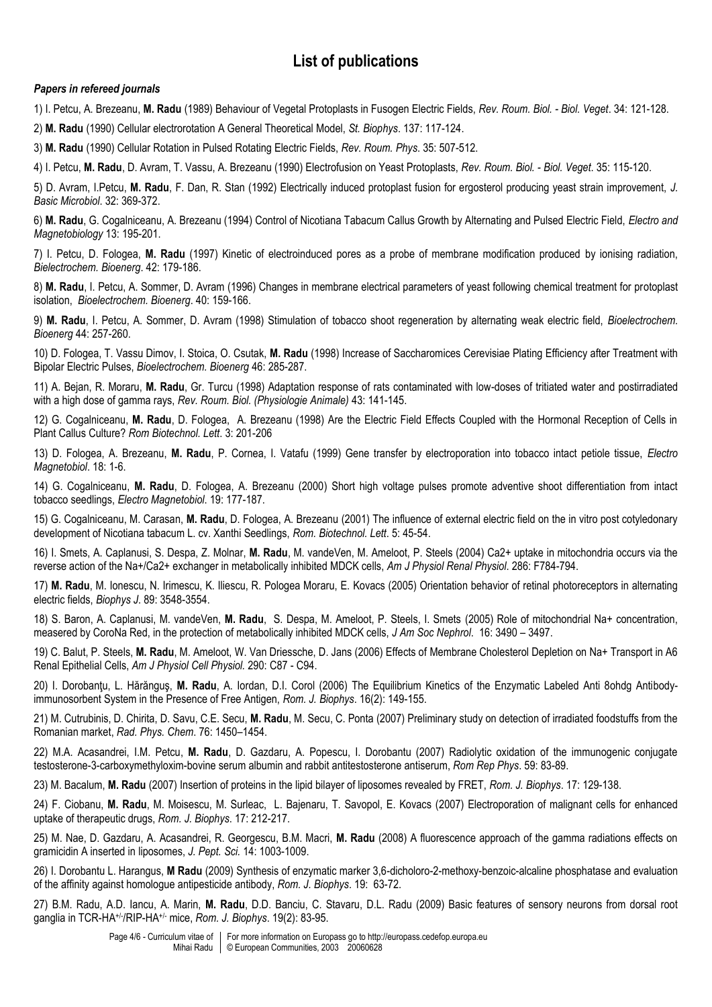# **List of publications**

### *Papers in refereed journals*

1) I. Petcu, A. Brezeanu, **M. Radu** (1989) Behaviour of Vegetal Protoplasts in Fusogen Electric Fields, *Rev. Roum. Biol. - Biol. Veget*. 34: 121-128.

2) **M. Radu** (1990) Cellular electrorotation A General Theoretical Model, *St. Biophys*. 137: 117-124.

3) **M. Radu** (1990) Cellular Rotation in Pulsed Rotating Electric Fields, *Rev. Roum. Phys*. 35: 507-512.

4) I. Petcu, **M. Radu**, D. Avram, T. Vassu, A. Brezeanu (1990) Electrofusion on Yeast Protoplasts, *Rev. Roum. Biol. - Biol. Veget*. 35: 115-120.

5) D. Avram, I.Petcu, **M. Radu**, F. Dan, R. Stan (1992) Electrically induced protoplast fusion for ergosterol producing yeast strain improvement, *J. Basic Microbiol*. 32: 369-372.

6) **M. Radu**, G. Cogalniceanu, A. Brezeanu (1994) Control of Nicotiana Tabacum Callus Growth by Alternating and Pulsed Electric Field, *Electro and Magnetobiology* 13: 195-201.

7) I. Petcu, D. Fologea, **M. Radu** (1997) Kinetic of electroinduced pores as a probe of membrane modification produced by ionising radiation, *Bielectrochem. Bioenerg*. 42: 179-186.

8) **M. Radu**, I. Petcu, A. Sommer, D. Avram (1996) Changes in membrane electrical parameters of yeast following chemical treatment for protoplast isolation, *Bioelectrochem. Bioenerg*. 40: 159-166.

9) **M. Radu**, I. Petcu, A. Sommer, D. Avram (1998) Stimulation of tobacco shoot regeneration by alternating weak electric field, *Bioelectrochem. Bioenerg* 44: 257-260.

10) D. Fologea, T. Vassu Dimov, I. Stoica, O. Csutak, **M. Radu** (1998) Increase of Saccharomices Cerevisiae Plating Efficiency after Treatment with Bipolar Electric Pulses, *Bioelectrochem. Bioenerg* 46: 285-287.

11) A. Bejan, R. Moraru, **M. Radu**, Gr. Turcu (1998) Adaptation response of rats contaminated with low-doses of tritiated water and postirradiated with a high dose of gamma rays, *Rev. Roum. Biol. (Physiologie Animale)* 43: 141-145.

12) G. Cogalniceanu, **M. Radu**, D. Fologea, A. Brezeanu (1998) Are the Electric Field Effects Coupled with the Hormonal Reception of Cells in Plant Callus Culture? *Rom Biotechnol. Lett*. 3: 201-206

13) D. Fologea, A. Brezeanu, **M. Radu**, P. Cornea, I. Vatafu (1999) Gene transfer by electroporation into tobacco intact petiole tissue, *Electro Magnetobiol*. 18: 1-6.

14) G. Cogalniceanu, **M. Radu**, D. Fologea, A. Brezeanu (2000) Short high voltage pulses promote adventive shoot differentiation from intact tobacco seedlings, *Electro Magnetobiol*. 19: 177-187.

15) G. Cogalniceanu, M. Carasan, **M. Radu**, D. Fologea, A. Brezeanu (2001) The influence of external electric field on the in vitro post cotyledonary development of Nicotiana tabacum L. cv. Xanthi Seedlings, *Rom. Biotechnol. Lett*. 5: 45-54.

16) I. Smets, A. Caplanusi, S. Despa, Z. Molnar, **M. Radu**, M. vandeVen, M. Ameloot, P. Steels (2004) Ca2+ uptake in mitochondria occurs via the reverse action of the Na+/Ca2+ exchanger in metabolically inhibited MDCK cells, *Am J Physiol Renal Physiol*. 286: F784-794.

17) **M. Radu**, M. Ionescu, N. Irimescu, K. Iliescu, R. Pologea Moraru, E. Kovacs (2005) Orientation behavior of retinal photoreceptors in alternating electric fields, *Biophys J*. 89: 3548-3554.

18) S. Baron, A. Caplanusi, M. vandeVen, **M. Radu**, S. Despa, M. Ameloot, P. Steels, I. Smets (2005) Role of mitochondrial Na+ concentration, measered by CoroNa Red, in the protection of metabolically inhibited MDCK cells, *J Am Soc Nephrol*. 16: 3490 – 3497.

19) C. Balut, P. Steels, **M. Radu**, M. Ameloot, W. Van Driessche, D. Jans (2006) Effects of Membrane Cholesterol Depletion on Na+ Transport in A6 Renal Epithelial Cells, *Am J Physiol Cell Physiol.* 290: C87 - C94.

20) I. Dorobanţu, L. Hărănguş, **M. Radu**, A. Iordan, D.I. Corol (2006) The Equilibrium Kinetics of the Enzymatic Labeled Anti 8ohdg Antibodyimmunosorbent System in the Presence of Free Antigen, *Rom. J. Biophys*. 16(2): 149-155.

21) M. Cutrubinis, D. Chirita, D. Savu, C.E. Secu, **M. Radu**, M. Secu, C. Ponta (2007) Preliminary study on detection of irradiated foodstuffs from the Romanian market, *Rad. Phys. Chem*. 76: 1450–1454.

22) M.A. Acasandrei, I.M. Petcu, **M. Radu**, D. Gazdaru, A. Popescu, I. Dorobantu (2007) Radiolytic oxidation of the immunogenic conjugate testosterone-3-carboxymethyloxim-bovine serum albumin and rabbit antitestosterone antiserum, *Rom Rep Phys*. 59: 83-89.

23) M. Bacalum, **M. Radu** (2007) Insertion of proteins in the lipid bilayer of liposomes revealed by FRET, *Rom. J. Biophys*. 17: 129-138.

24) F. Ciobanu, **M. Radu**, M. Moisescu, M. Surleac, L. Bajenaru, T. Savopol, E. Kovacs (2007) Electroporation of malignant cells for enhanced uptake of therapeutic drugs, *Rom. J. Biophys*. 17: 212-217.

25) M. Nae, D. Gazdaru, A. Acasandrei, R. Georgescu, B.M. Macri, **M. Radu** (2008) A fluorescence approach of the gamma radiations effects on gramicidin A inserted in liposomes, *J. Pept. Sci.* 14: 1003-1009.

26) I. Dorobantu L. Harangus, **M Radu** (2009) Synthesis of enzymatic marker 3,6-dicholoro-2-methoxy-benzoic-alcaline phosphatase and evaluation of the affinity against homologue antipesticide antibody, *Rom. J. Biophys*. 19: 63-72.

27) B.M. Radu, A.D. Iancu, A. Marin, **M. Radu**, D.D. Banciu, C. Stavaru, D.L. Radu (2009) Basic features of sensory neurons from dorsal root ganglia in TCR-HA+/- /RIP-HA+/- mice, *Rom. J. Biophys*. 19(2): 83-95.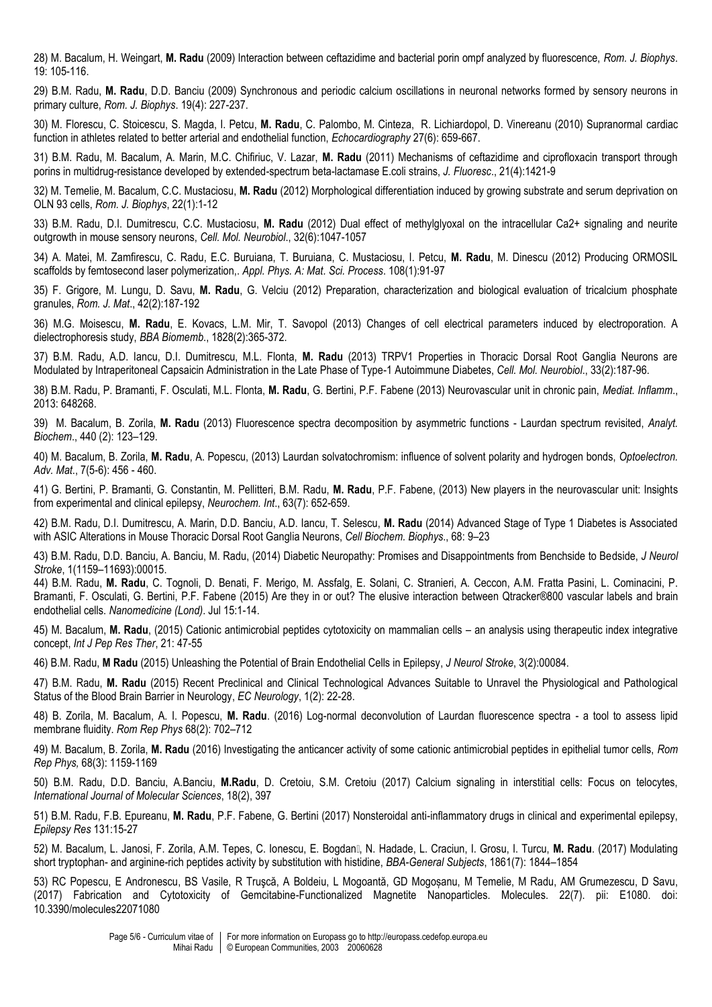28) M. Bacalum, H. Weingart, **M. Radu** (2009) Interaction between ceftazidime and bacterial porin ompf analyzed by fluorescence, *Rom. J. Biophys*. 19: 105-116.

29) B.M. Radu, **M. Radu**, D.D. Banciu (2009) Synchronous and periodic calcium oscillations in neuronal networks formed by sensory neurons in primary culture, *Rom. J. Biophys*. 19(4): 227-237.

30) M. Florescu, C. Stoicescu, S. Magda, I. Petcu, **M. Radu**, C. Palombo, M. Cinteza, R. Lichiardopol, D. Vinereanu (2010) Supranormal cardiac function in athletes related to better arterial and endothelial function, *Echocardiography* 27(6): 659-667.

31) B.M. Radu, M. Bacalum, A. Marin, M.C. Chifiriuc, V. Lazar, **M. Radu** (2011) Mechanisms of ceftazidime and ciprofloxacin transport through porins in multidrug-resistance developed by extended-spectrum beta-lactamase E.coli strains, *J. Fluoresc*., 21(4):1421-9

32) M. Temelie, M. Bacalum, C.C. Mustaciosu, **M. Radu** (2012) Morphological differentiation induced by growing substrate and serum deprivation on OLN 93 cells, *Rom. J. Biophys*, 22(1):1-12

33) B.M. Radu, D.I. Dumitrescu, C.C. Mustaciosu, **M. Radu** (2012) Dual effect of methylglyoxal on the intracellular Ca2+ signaling and neurite outgrowth in mouse sensory neurons, *Cell. Mol. Neurobiol*., 32(6):1047-1057

34) A. Matei, M. Zamfirescu, C. Radu, E.C. Buruiana, T. Buruiana, C. Mustaciosu, I. Petcu, **M. Radu**, M. Dinescu (2012) Producing ORMOSIL scaffolds by femtosecond laser polymerization,. *Appl. Phys. A: Mat. Sci. Process*. 108(1):91-97

35) F. Grigore, M. Lungu, D. Savu, **M. Radu**, G. Velciu (2012) Preparation, characterization and biological evaluation of tricalcium phosphate granules, *Rom. J. Mat*., 42(2):187-192

36) M.G. Moisescu, **M. Radu**, E. Kovacs, L.M. Mir, T. Savopol (2013) Changes of cell electrical parameters induced by electroporation. A dielectrophoresis study, *BBA Biomemb*., 1828(2):365-372.

37) B.M. Radu, A.D. Iancu, D.I. Dumitrescu, M.L. Flonta, **M. Radu** (2013) TRPV1 Properties in Thoracic Dorsal Root Ganglia Neurons are Modulated by Intraperitoneal Capsaicin Administration in the Late Phase of Type-1 Autoimmune Diabetes, *Cell. Mol. Neurobiol*., 33(2):187-96.

38) B.M. Radu, P. Bramanti, F. Osculati, M.L. Flonta, **M. Radu**, G. Bertini, P.F. Fabene (2013) Neurovascular unit in chronic pain, *Mediat. Inflamm*., 2013: 648268.

39) M. Bacalum, B. Zorila, **M. Radu** (2013) Fluorescence spectra decomposition by asymmetric functions - Laurdan spectrum revisited, *Analyt. Biochem*., 440 (2): 123–129.

40) M. Bacalum, B. Zorila, **M. Radu**, A. Popescu, (2013) Laurdan solvatochromism: influence of solvent polarity and hydrogen bonds, *Optoelectron. Adv. Mat*., 7(5-6): 456 - 460.

41) G. Bertini, P. Bramanti, G. Constantin, M. Pellitteri, B.M. Radu, **M. Radu**, P.F. Fabene, (2013) New players in the neurovascular unit: Insights from experimental and clinical epilepsy, *Neurochem. Int*., 63(7): 652-659.

42) B.M. Radu, D.I. Dumitrescu, A. Marin, D.D. Banciu, A.D. Iancu, T. Selescu, **M. Radu** (2014) Advanced Stage of Type 1 Diabetes is Associated with ASIC Alterations in Mouse Thoracic Dorsal Root Ganglia Neurons, *Cell Biochem. Biophys*., 68: 9–23

43) B.M. Radu, D.D. Banciu, A. Banciu, M. Radu, (2014) Diabetic Neuropathy: Promises and Disappointments from Benchside to Bedside, *J Neurol Stroke*, 1(1159–11693):00015.

44) B.M. Radu, **M. Radu**, C. Tognoli, D. Benati, F. Merigo, M. Assfalg, E. Solani, C. Stranieri, A. Ceccon, A.M. Fratta Pasini, L. Cominacini, P. Bramanti, F. Osculati, G. Bertini, P.F. Fabene (2015) Are they in or out? The elusive interaction between Qtracker®800 vascular labels and brain endothelial cells. *Nanomedicine (Lond)*. Jul 15:1-14.

45) M. Bacalum, **M. Radu**, (2015) Cationic antimicrobial peptides cytotoxicity on mammalian cells – an analysis using therapeutic index integrative concept, *Int J Pep Res Ther*, 21: 47-55

46) B.M. Radu, **M Radu** (2015) Unleashing the Potential of Brain Endothelial Cells in Epilepsy, *J Neurol Stroke*, 3(2):00084.

47) B.M. Radu, **M. Radu** (2015) Recent Preclinical and Clinical Technological Advances Suitable to Unravel the Physiological and Pathological Status of the Blood Brain Barrier in Neurology, *EC Neurology*, 1(2): 22-28.

48) B. Zorila, M. Bacalum, A. I. Popescu, **M. Radu**. (2016) Log-normal deconvolution of Laurdan fluorescence spectra - a tool to assess lipid membrane fluidity. *Rom Rep Phys* 68(2): 702–712

49) M. Bacalum, B. Zorila, **M. Radu** (2016) Investigating the anticancer activity of some cationic antimicrobial peptides in epithelial tumor cells, *Rom Rep Phys,* 68(3): 1159-1169

50) B.M. Radu, D.D. Banciu, A.Banciu, **M.Radu**, D. Cretoiu, S.M. Cretoiu (2017) Calcium signaling in interstitial cells: Focus on telocytes, *International Journal of Molecular Sciences*, 18(2), 397

51) B.M. Radu, F.B. Epureanu, **M. Radu**, P.F. Fabene, G. Bertini (2017) Nonsteroidal anti-inflammatory drugs in clinical and experimental epilepsy, *Epilepsy Res* 131:15-27

52) M. Bacalum, L. Janosi, F. Zorila, A.M. Tepes, C. Ionescu, E. Bogdan, N. Hadade, L. Craciun, I. Grosu, I. Turcu, **M. Radu**. (2017) Modulating short tryptophan- and arginine-rich peptides activity by substitution with histidine, *BBA-General Subjects*, 1861(7): 1844–1854

53) RC Popescu, E Andronescu, BS Vasile, R Truşcă, A Boldeiu, L Mogoantă, GD Mogoșanu, M Temelie, M Radu, AM Grumezescu, D Savu, (2017) Fabrication and Cytotoxicity of Gemcitabine-Functionalized Magnetite Nanoparticles. Molecules. 22(7). pii: E1080. doi: 10.3390/molecules22071080